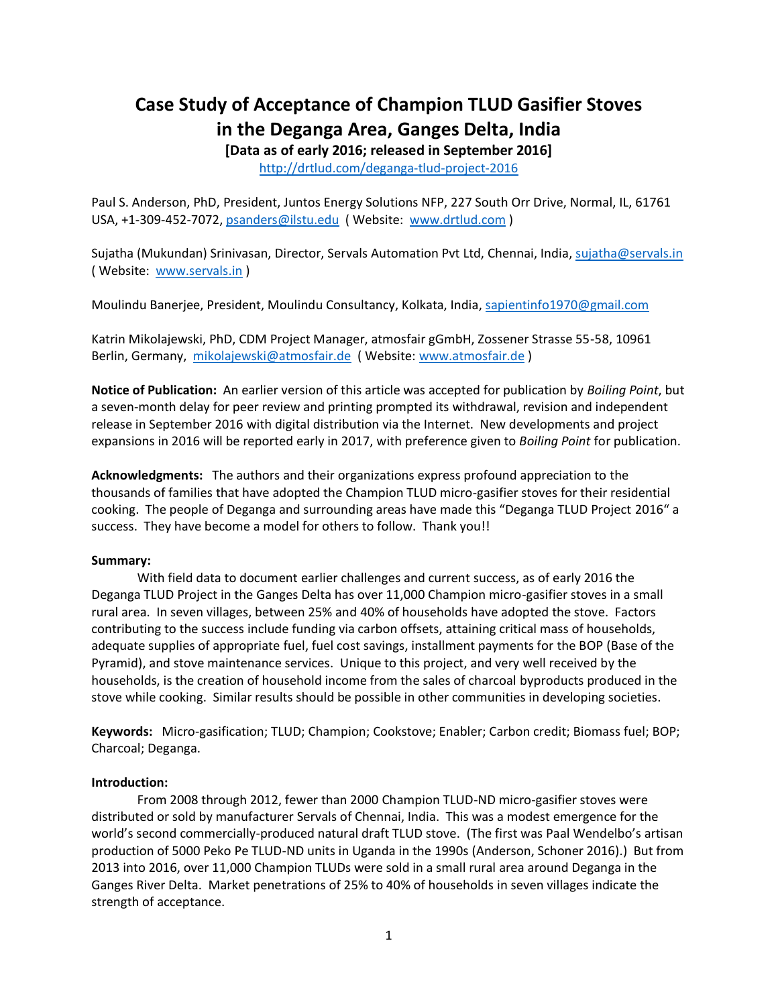# **Case Study of Acceptance of Champion TLUD Gasifier Stoves in the Deganga Area, Ganges Delta, India**

**[Data as of early 2016; released in September 2016]**

<http://drtlud.com/deganga-tlud-project-2016>

Paul S. Anderson, PhD, President, Juntos Energy Solutions NFP, 227 South Orr Drive, Normal, IL, 61761 USA, +1-309-452-7072, [psanders@ilstu.edu](mailto:psanders@ilstu.edu) ( Website: [www.drtlud.com](http://www.drtlud.com/) )

Sujatha (Mukundan) Srinivasan, Director, Servals Automation Pvt Ltd, Chennai, India, [sujatha@servals.in](mailto:sujatha@servals.in) ( Website: [www.servals.in](http://www.servals.in/) )

Moulindu Banerjee, President, Moulindu Consultancy, Kolkata, India, [sapientinfo1970@gmail.com](mailto:sapientinfo1970@gmail.com)

Katrin Mikolajewski, PhD, CDM Project Manager, atmosfair gGmbH, Zossener Strasse 55-58, 10961 Berlin, Germany, [mikolajewski@atmosfair.de](mailto:mikolajewski@atmosfair.de) (Website: [www.atmosfair.de](http://www.atmosfair.de/))

**Notice of Publication:** An earlier version of this article was accepted for publication by *Boiling Point*, but a seven-month delay for peer review and printing prompted its withdrawal, revision and independent release in September 2016 with digital distribution via the Internet. New developments and project expansions in 2016 will be reported early in 2017, with preference given to *Boiling Point* for publication.

**Acknowledgments:** The authors and their organizations express profound appreciation to the thousands of families that have adopted the Champion TLUD micro-gasifier stoves for their residential cooking. The people of Deganga and surrounding areas have made this "Deganga TLUD Project 2016" a success. They have become a model for others to follow. Thank you!!

## **Summary:**

With field data to document earlier challenges and current success, as of early 2016 the Deganga TLUD Project in the Ganges Delta has over 11,000 Champion micro-gasifier stoves in a small rural area. In seven villages, between 25% and 40% of households have adopted the stove. Factors contributing to the success include funding via carbon offsets, attaining critical mass of households, adequate supplies of appropriate fuel, fuel cost savings, installment payments for the BOP (Base of the Pyramid), and stove maintenance services. Unique to this project, and very well received by the households, is the creation of household income from the sales of charcoal byproducts produced in the stove while cooking. Similar results should be possible in other communities in developing societies.

**Keywords:** Micro-gasification; TLUD; Champion; Cookstove; Enabler; Carbon credit; Biomass fuel; BOP; Charcoal; Deganga.

## **Introduction:**

From 2008 through 2012, fewer than 2000 Champion TLUD-ND micro-gasifier stoves were distributed or sold by manufacturer Servals of Chennai, India. This was a modest emergence for the world's second commercially-produced natural draft TLUD stove. (The first was Paal Wendelbo's artisan production of 5000 Peko Pe TLUD-ND units in Uganda in the 1990s (Anderson, Schoner 2016).) But from 2013 into 2016, over 11,000 Champion TLUDs were sold in a small rural area around Deganga in the Ganges River Delta. Market penetrations of 25% to 40% of households in seven villages indicate the strength of acceptance.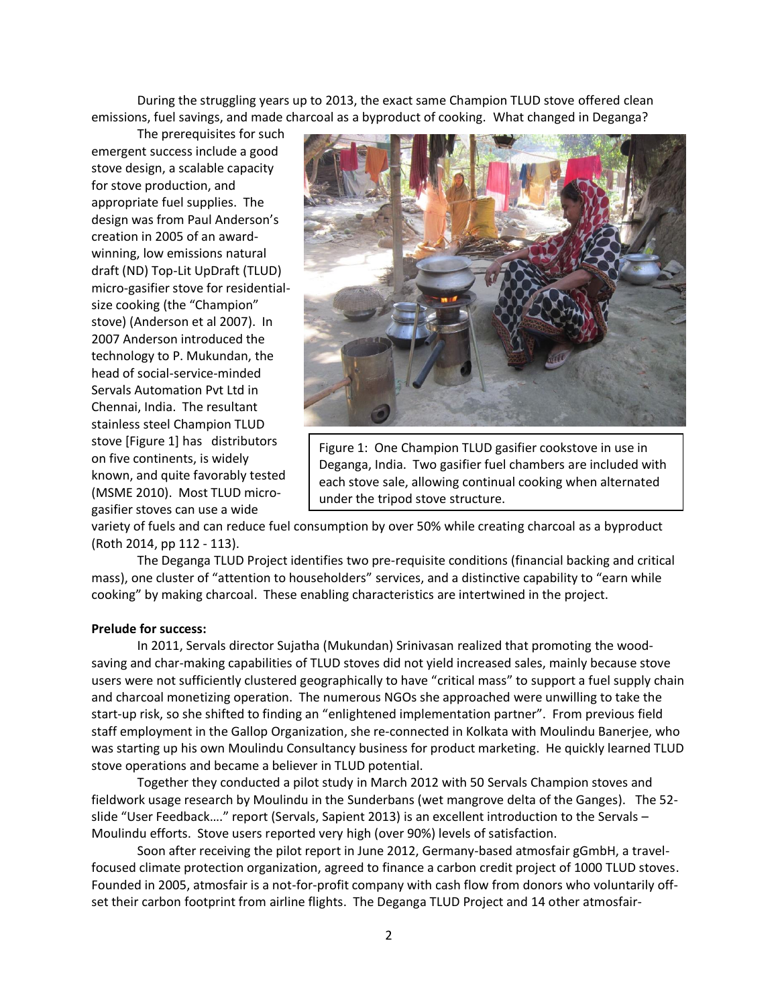During the struggling years up to 2013, the exact same Champion TLUD stove offered clean emissions, fuel savings, and made charcoal as a byproduct of cooking. What changed in Deganga?

The prerequisites for such emergent success include a good stove design, a scalable capacity for stove production, and appropriate fuel supplies. The design was from Paul Anderson's creation in 2005 of an awardwinning, low emissions natural draft (ND) Top-Lit UpDraft (TLUD) micro-gasifier stove for residentialsize cooking (the "Champion" stove) (Anderson et al 2007). In 2007 Anderson introduced the technology to P. Mukundan, the head of social-service-minded Servals Automation Pvt Ltd in Chennai, India. The resultant stainless steel Champion TLUD stove [Figure 1] has distributors on five continents, is widely known, and quite favorably tested (MSME 2010). Most TLUD microgasifier stoves can use a wide



Figure 1: One Champion TLUD gasifier cookstove in use in Deganga, India. Two gasifier fuel chambers are included with each stove sale, allowing continual cooking when alternated under the tripod stove structure.

variety of fuels and can reduce fuel consumption by over 50% while creating charcoal as a byproduct (Roth 2014, pp 112 - 113).

The Deganga TLUD Project identifies two pre-requisite conditions (financial backing and critical mass), one cluster of "attention to householders" services, and a distinctive capability to "earn while cooking" by making charcoal. These enabling characteristics are intertwined in the project.

#### **Prelude for success:**

In 2011, Servals director Sujatha (Mukundan) Srinivasan realized that promoting the woodsaving and char-making capabilities of TLUD stoves did not yield increased sales, mainly because stove users were not sufficiently clustered geographically to have "critical mass" to support a fuel supply chain and charcoal monetizing operation. The numerous NGOs she approached were unwilling to take the start-up risk, so she shifted to finding an "enlightened implementation partner". From previous field staff employment in the Gallop Organization, she re-connected in Kolkata with Moulindu Banerjee, who was starting up his own Moulindu Consultancy business for product marketing. He quickly learned TLUD stove operations and became a believer in TLUD potential.

Together they conducted a pilot study in March 2012 with 50 Servals Champion stoves and fieldwork usage research by Moulindu in the Sunderbans (wet mangrove delta of the Ganges). The 52 slide "User Feedback…." report (Servals, Sapient 2013) is an excellent introduction to the Servals – Moulindu efforts. Stove users reported very high (over 90%) levels of satisfaction.

Soon after receiving the pilot report in June 2012, Germany-based atmosfair gGmbH, a travelfocused climate protection organization, agreed to finance a carbon credit project of 1000 TLUD stoves. Founded in 2005, atmosfair is a not-for-profit company with cash flow from donors who voluntarily offset their carbon footprint from airline flights. The Deganga TLUD Project and 14 other atmosfair-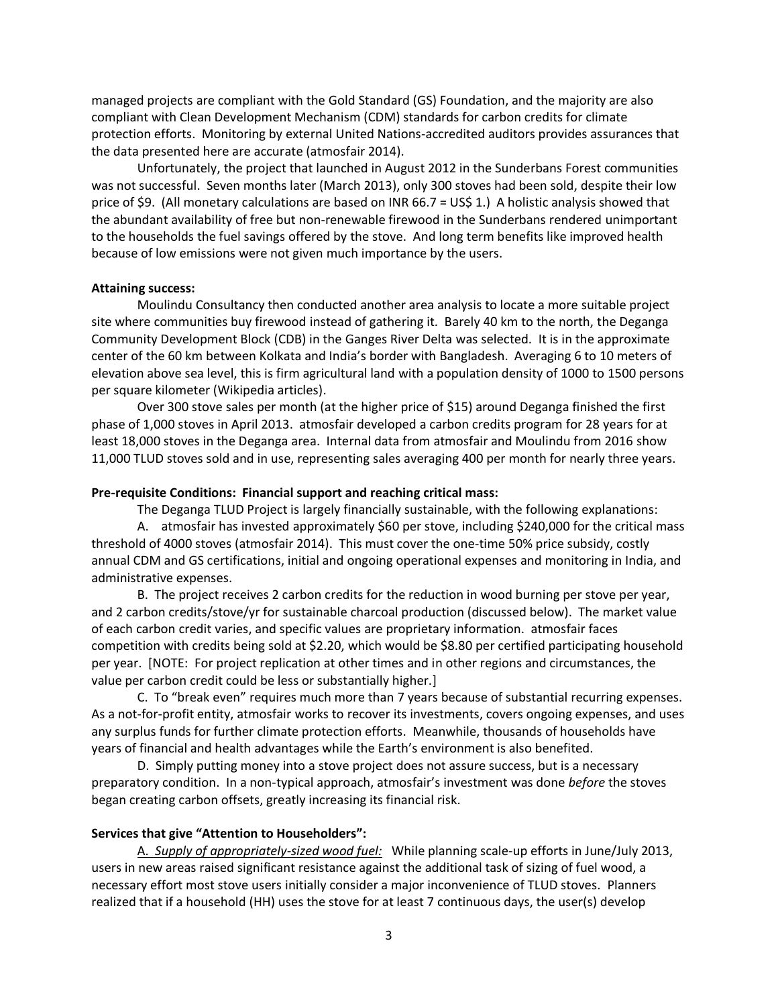managed projects are compliant with the Gold Standard (GS) Foundation, and the majority are also compliant with Clean Development Mechanism (CDM) standards for carbon credits for climate protection efforts. Monitoring by external United Nations-accredited auditors provides assurances that the data presented here are accurate (atmosfair 2014).

Unfortunately, the project that launched in August 2012 in the Sunderbans Forest communities was not successful. Seven months later (March 2013), only 300 stoves had been sold, despite their low price of \$9. (All monetary calculations are based on INR 66.7 = US\$ 1.) A holistic analysis showed that the abundant availability of free but non-renewable firewood in the Sunderbans rendered unimportant to the households the fuel savings offered by the stove. And long term benefits like improved health because of low emissions were not given much importance by the users.

#### **Attaining success:**

Moulindu Consultancy then conducted another area analysis to locate a more suitable project site where communities buy firewood instead of gathering it. Barely 40 km to the north, the Deganga Community Development Block (CDB) in the Ganges River Delta was selected. It is in the approximate center of the 60 km between Kolkata and India's border with Bangladesh. Averaging 6 to 10 meters of elevation above sea level, this is firm agricultural land with a population density of 1000 to 1500 persons per square kilometer (Wikipedia articles).

Over 300 stove sales per month (at the higher price of \$15) around Deganga finished the first phase of 1,000 stoves in April 2013. atmosfair developed a carbon credits program for 28 years for at least 18,000 stoves in the Deganga area. Internal data from atmosfair and Moulindu from 2016 show 11,000 TLUD stoves sold and in use, representing sales averaging 400 per month for nearly three years.

#### **Pre-requisite Conditions: Financial support and reaching critical mass:**

The Deganga TLUD Project is largely financially sustainable, with the following explanations: A. atmosfair has invested approximately \$60 per stove, including \$240,000 for the critical mass threshold of 4000 stoves (atmosfair 2014). This must cover the one-time 50% price subsidy, costly annual CDM and GS certifications, initial and ongoing operational expenses and monitoring in India, and administrative expenses.

B. The project receives 2 carbon credits for the reduction in wood burning per stove per year, and 2 carbon credits/stove/yr for sustainable charcoal production (discussed below). The market value of each carbon credit varies, and specific values are proprietary information. atmosfair faces competition with credits being sold at \$2.20, which would be \$8.80 per certified participating household per year. [NOTE: For project replication at other times and in other regions and circumstances, the value per carbon credit could be less or substantially higher.]

C. To "break even" requires much more than 7 years because of substantial recurring expenses. As a not-for-profit entity, atmosfair works to recover its investments, covers ongoing expenses, and uses any surplus funds for further climate protection efforts. Meanwhile, thousands of households have years of financial and health advantages while the Earth's environment is also benefited.

D. Simply putting money into a stove project does not assure success, but is a necessary preparatory condition. In a non-typical approach, atmosfair's investment was done *before* the stoves began creating carbon offsets, greatly increasing its financial risk.

#### **Services that give "Attention to Householders":**

A. *Supply of appropriately-sized wood fuel:* While planning scale-up efforts in June/July 2013, users in new areas raised significant resistance against the additional task of sizing of fuel wood, a necessary effort most stove users initially consider a major inconvenience of TLUD stoves. Planners realized that if a household (HH) uses the stove for at least 7 continuous days, the user(s) develop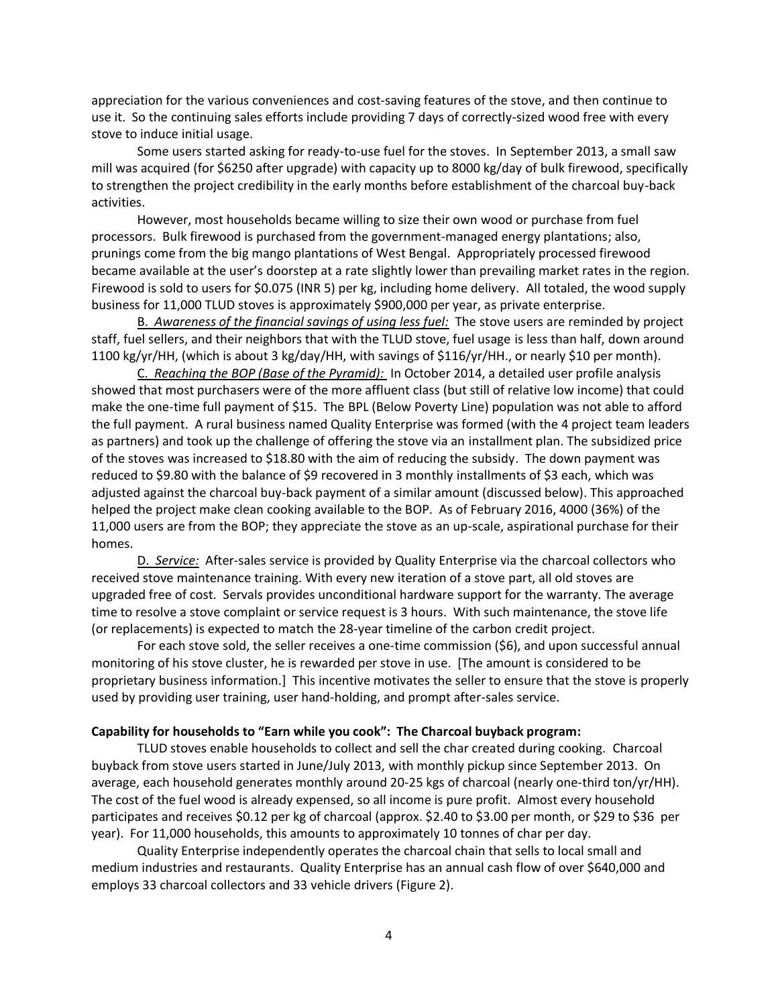appreciation for the various conveniences and cost-saving features of the stove, and then continue to use it. So the continuing sales efforts include providing 7 days of correctly-sized wood free with every stove to induce initial usage.

Some users started asking for ready-to-use fuel for the stoves. In September 2013, a small saw mill was acquired (for \$6250 after upgrade) with capacity up to 8000 kg/day of bulk firewood, specifically to strengthen the project credibility in the early months before establishment of the charcoal buy-back activities.

However, most households became willing to size their own wood or purchase from fuel processors. Bulk firewood is purchased from the government-managed energy plantations; also, prunings come from the big mango plantations of West Bengal. Appropriately processed firewood became available at the user's doorstep at a rate slightly lower than prevailing market rates in the region. Firewood is sold to users for \$0.075 (INR 5) per kg, including home delivery. All totaled, the wood supply business for 11,000 TLUD stoves is approximately \$900,000 per year, as private enterprise.

B. *Awareness of the financial savings of using less fuel:* The stove users are reminded by project staff, fuel sellers, and their neighbors that with the TLUD stove, fuel usage is less than half, down around 1100 kg/yr/HH, (which is about 3 kg/day/HH, with savings of \$116/yr/HH., or nearly \$10 per month).

C. *Reaching the BOP (Base of the Pyramid):* In October 2014, a detailed user profile analysis showed that most purchasers were of the more affluent class (but still of relative low income) that could make the one-time full payment of \$15. The BPL (Below Poverty Line) population was not able to afford the full payment. A rural business named Quality Enterprise was formed (with the 4 project team leaders as partners) and took up the challenge of offering the stove via an installment plan. The subsidized price of the stoves was increased to \$18.80 with the aim of reducing the subsidy. The down payment was reduced to \$9.80 with the balance of \$9 recovered in 3 monthly installments of \$3 each, which was adjusted against the charcoal buy-back payment of a similar amount (discussed below). This approached helped the project make clean cooking available to the BOP. As of February 2016, 4000 (36%) of the 11,000 users are from the BOP; they appreciate the stove as an up-scale, aspirational purchase for their homes.

D. *Service:* After-sales service is provided by Quality Enterprise via the charcoal collectors who received stove maintenance training. With every new iteration of a stove part, all old stoves are upgraded free of cost. Servals provides unconditional hardware support for the warranty. The average time to resolve a stove complaint or service request is 3 hours. With such maintenance, the stove life (or replacements) is expected to match the 28-year timeline of the carbon credit project.

For each stove sold, the seller receives a one-time commission (\$6), and upon successful annual monitoring of his stove cluster, he is rewarded per stove in use. [The amount is considered to be proprietary business information.] This incentive motivates the seller to ensure that the stove is properly used by providing user training, user hand-holding, and prompt after-sales service.

## **Capability for households to "Earn while you cook": The Charcoal buyback program:**

TLUD stoves enable households to collect and sell the char created during cooking. Charcoal buyback from stove users started in June/July 2013, with monthly pickup since September 2013. On average, each household generates monthly around 20-25 kgs of charcoal (nearly one-third ton/yr/HH). The cost of the fuel wood is already expensed, so all income is pure profit. Almost every household participates and receives \$0.12 per kg of charcoal (approx. \$2.40 to \$3.00 per month, or \$29 to \$36 per year). For 11,000 households, this amounts to approximately 10 tonnes of char per day.

Quality Enterprise independently operates the charcoal chain that sells to local small and medium industries and restaurants. Quality Enterprise has an annual cash flow of over \$640,000 and employs 33 charcoal collectors and 33 vehicle drivers (Figure 2).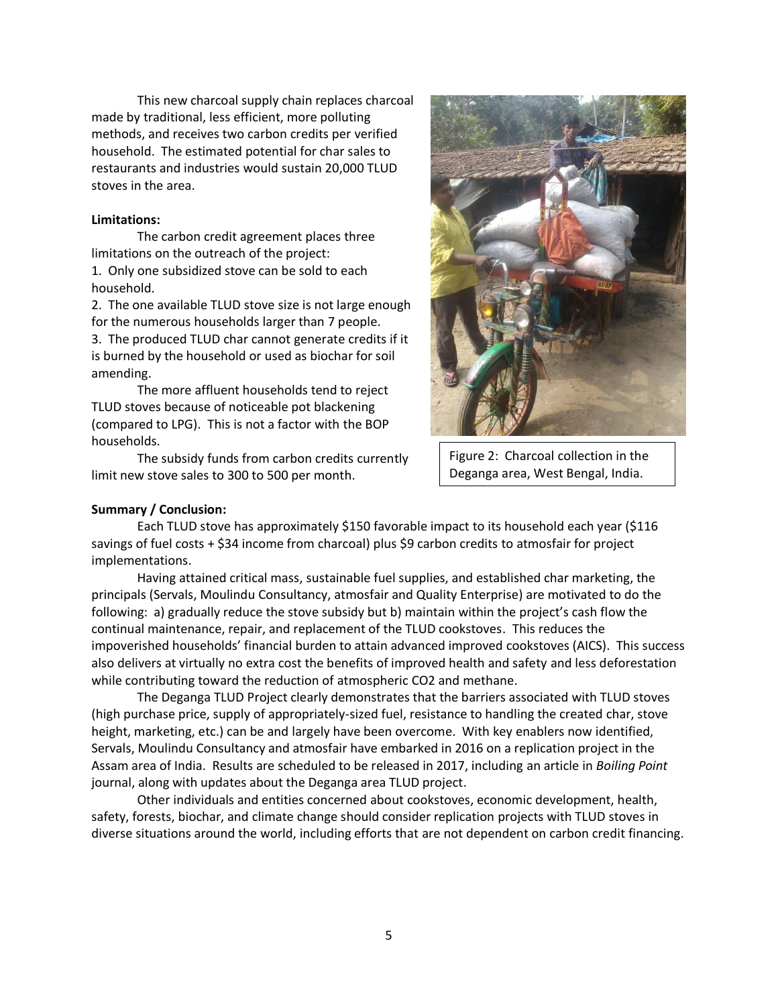This new charcoal supply chain replaces charcoal made by traditional, less efficient, more polluting methods, and receives two carbon credits per verified household. The estimated potential for char sales to restaurants and industries would sustain 20,000 TLUD stoves in the area.

## **Limitations:**

The carbon credit agreement places three limitations on the outreach of the project: 1. Only one subsidized stove can be sold to each household.

2. The one available TLUD stove size is not large enough for the numerous households larger than 7 people.

3. The produced TLUD char cannot generate credits if it is burned by the household or used as biochar for soil amending.

The more affluent households tend to reject TLUD stoves because of noticeable pot blackening (compared to LPG). This is not a factor with the BOP households.

The subsidy funds from carbon credits currently limit new stove sales to 300 to 500 per month.



Figure 2: Charcoal collection in the Deganga area, West Bengal, India.

## **Summary / Conclusion:**

Each TLUD stove has approximately \$150 favorable impact to its household each year (\$116 savings of fuel costs + \$34 income from charcoal) plus \$9 carbon credits to atmosfair for project implementations.

Having attained critical mass, sustainable fuel supplies, and established char marketing, the principals (Servals, Moulindu Consultancy, atmosfair and Quality Enterprise) are motivated to do the following: a) gradually reduce the stove subsidy but b) maintain within the project's cash flow the continual maintenance, repair, and replacement of the TLUD cookstoves. This reduces the impoverished households' financial burden to attain advanced improved cookstoves (AICS). This success also delivers at virtually no extra cost the benefits of improved health and safety and less deforestation while contributing toward the reduction of atmospheric CO2 and methane.

The Deganga TLUD Project clearly demonstrates that the barriers associated with TLUD stoves (high purchase price, supply of appropriately-sized fuel, resistance to handling the created char, stove height, marketing, etc.) can be and largely have been overcome. With key enablers now identified, Servals, Moulindu Consultancy and atmosfair have embarked in 2016 on a replication project in the Assam area of India. Results are scheduled to be released in 2017, including an article in *Boiling Point* journal, along with updates about the Deganga area TLUD project.

 Other individuals and entities concerned about cookstoves, economic development, health, safety, forests, biochar, and climate change should consider replication projects with TLUD stoves in diverse situations around the world, including efforts that are not dependent on carbon credit financing.